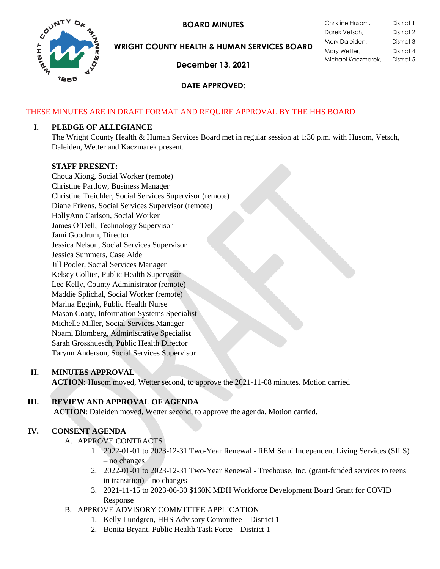

**BOARD MINUTES** 

**WRIGHT COUNTY HEALTH & HUMAN SERVICES BOARD**

**December 13, 2021**

| Christine Husom,   | District 1 |
|--------------------|------------|
| Darek Vetsch,      | District 2 |
| Mark Daleiden,     | District 3 |
| Mary Wetter,       | District 4 |
| Michael Kaczmarek, | District 5 |

## **DATE APPROVED:**

## THESE MINUTES ARE IN DRAFT FORMAT AND REQUIRE APPROVAL BY THE HHS BOARD

## **I. PLEDGE OF ALLEGIANCE**

The Wright County Health & Human Services Board met in regular session at 1:30 p.m. with Husom, Vetsch, Daleiden, Wetter and Kaczmarek present.

### **STAFF PRESENT:**

Choua Xiong, Social Worker (remote) Christine Partlow, Business Manager Christine Treichler, Social Services Supervisor (remote) Diane Erkens, Social Services Supervisor (remote) HollyAnn Carlson, Social Worker James O'Dell, Technology Supervisor Jami Goodrum, Director Jessica Nelson, Social Services Supervisor Jessica Summers, Case Aide Jill Pooler, Social Services Manager Kelsey Collier, Public Health Supervisor Lee Kelly, County Administrator (remote) Maddie Splichal, Social Worker (remote) Marina Eggink, Public Health Nurse Mason Coaty, Information Systems Specialist Michelle Miller, Social Services Manager Noami Blomberg, Administrative Specialist Sarah Grosshuesch, Public Health Director Tarynn Anderson, Social Services Supervisor

## **II. MINUTES APPROVAL**

**ACTION:** Husom moved, Wetter second, to approve the 2021-11-08 minutes. Motion carried

# **III. REVIEW AND APPROVAL OF AGENDA**

**ACTION**: Daleiden moved, Wetter second, to approve the agenda. Motion carried.

## **IV. CONSENT AGENDA**

- A. APPROVE CONTRACTS
	- 1. 2022-01-01 to 2023-12-31 Two-Year Renewal REM Semi Independent Living Services (SILS) – no changes
	- 2. 2022-01-01 to 2023-12-31 Two-Year Renewal Treehouse, Inc. (grant-funded services to teens in transition) – no changes
	- 3. 2021-11-15 to 2023-06-30 \$160K MDH Workforce Development Board Grant for COVID Response
- B. APPROVE ADVISORY COMMITTEE APPLICATION
	- 1. Kelly Lundgren, HHS Advisory Committee District 1
	- 2. Bonita Bryant, Public Health Task Force District 1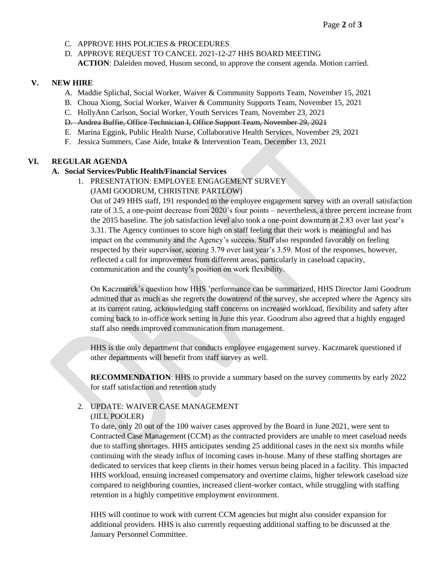- C. APPROVE HHS POLICIES & PROCEDURES
- D. APPROVE REQUEST TO CANCEL 2021-12-27 HHS BOARD MEETING **ACTION**: Daleiden moved, Husom second, to approve the consent agenda. Motion carried.

#### **V. NEW HIRE**

- A. Maddie Splichal, Social Worker, Waiver & Community Supports Team, November 15, 2021
- B. Choua Xiong, Social Worker, Waiver & Community Supports Team, November 15, 2021
- C. HollyAnn Carlson, Social Worker, Youth Services Team, November 23, 2021
- D. Andrea Buffie, Office Technician I, Office Support Team, November 29, 2021
- E. Marina Eggink, Public Health Nurse, Collaborative Health Services, November 29, 2021
- F. Jessica Summers, Case Aide, Intake & Intervention Team, December 13, 2021

#### **VI. REGULAR AGENDA**

#### **A. Social Services/Public Health/Financial Services**

1. PRESENTATION: EMPLOYEE ENGAGEMENT SURVEY (JAMI GOODRUM, CHRISTINE PARTLOW)

Out of 249 HHS staff, 191 responded to the employee engagement survey with an overall satisfaction rate of 3.5, a one-point decrease from 2020's four points – nevertheless, a three percent increase from the 2015 baseline. The job satisfaction level also took a one-point downturn at 2.83 over last year's 3.31. The Agency continues to score high on staff feeling that their work is meaningful and has impact on the community and the Agency's success. Staff also responded favorably on feeling respected by their supervisor, scoring 3.79 over last year's 3.59. Most of the responses, however, reflected a call for improvement from different areas, particularly in caseload capacity, communication and the county's position on work flexibility.

On Kaczmarek's question how HHS 'performance can be summarized, HHS Director Jami Goodrum admitted that as much as she regrets the downtrend of the survey, she accepted where the Agency sits at its current rating, acknowledging staff concerns on increased workload, flexibility and safety after coming back to in-office work setting in June this year. Goodrum also agreed that a highly engaged staff also needs improved communication from management.

HHS is the only department that conducts employee engagement survey. Kaczmarek questioned if other departments will benefit from staff survey as well.

**RECOMMENDATION**: HHS to provide a summary based on the survey comments by early 2022 for staff satisfaction and retention study

# 2. UPDATE: WAIVER CASE MANAGEMENT

#### (JILL POOLER)

To date, only 20 out of the 100 waiver cases approved by the Board in June 2021, were sent to Contracted Case Management (CCM) as the contracted providers are unable to meet caseload needs due to staffing shortages. HHS anticipates sending 25 additional cases in the next six months while continuing with the steady influx of incoming cases in-house. Many of these staffing shortages are dedicated to services that keep clients in their homes versus being placed in a facility. This impacted HHS workload, ensuing increased compensatory and overtime claims, higher telework caseload size compared to neighboring counties, increased client-worker contact, while struggling with staffing retention in a highly competitive employment environment.

HHS will continue to work with current CCM agencies but might also consider expansion for additional providers. HHS is also currently requesting additional staffing to be discussed at the January Personnel Committee.